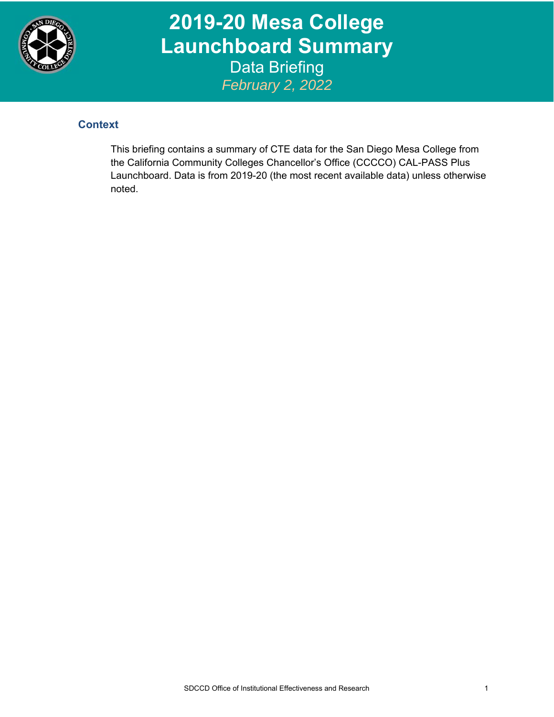

**2019-20 Mesa College Launchboard Summary**  Data Briefing *February 2, 2022*

## **Context**

This briefing contains a summary of CTE data for the San Diego Mesa College from the California Community Colleges Chancellor's Office (CCCCO) CAL-PASS Plus Launchboard. Data is from 2019-20 (the most recent available data) unless otherwise noted.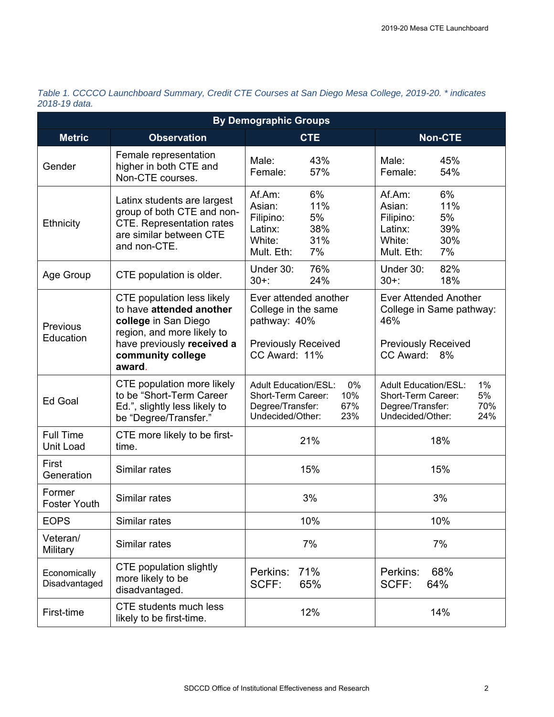| <b>By Demographic Groups</b>  |                                                                                                                                          |                                                                                                                      |                                                                                                                     |  |  |  |  |  |  |
|-------------------------------|------------------------------------------------------------------------------------------------------------------------------------------|----------------------------------------------------------------------------------------------------------------------|---------------------------------------------------------------------------------------------------------------------|--|--|--|--|--|--|
| <b>Metric</b>                 | <b>Observation</b>                                                                                                                       | <b>CTE</b>                                                                                                           | <b>Non-CTE</b>                                                                                                      |  |  |  |  |  |  |
| Gender                        | Female representation<br>higher in both CTE and<br>Non-CTE courses.                                                                      | Male:<br>43%<br>57%<br>Female:                                                                                       | Male:<br>45%<br>54%<br>Female:                                                                                      |  |  |  |  |  |  |
| Ethnicity                     | Latinx students are largest<br>group of both CTE and non-<br><b>CTE.</b> Representation rates<br>are similar between CTE<br>and non-CTE. | 6%<br>Af.Am:<br>Asian:<br>11%<br>5%<br>Filipino:<br>38%<br>Latinx:<br>31%<br>White:<br>7%<br>Mult. Eth:              | 6%<br>Af.Am:<br>11%<br>Asian:<br>5%<br>Filipino:<br>39%<br>Latinx:<br>White:<br>30%<br>7%<br>Mult. Eth:             |  |  |  |  |  |  |
| Age Group                     | CTE population is older.                                                                                                                 | 76%<br>Under 30:<br>$30+$ :<br>24%                                                                                   | 82%<br>Under 30:<br>18%<br>$30 + 1$                                                                                 |  |  |  |  |  |  |
| Previous<br>Education         | <b>CTE</b> population less likely<br>to have attended another<br>college in San Diego<br>region, and more likely to                      | Ever attended another<br>College in the same<br>pathway: 40%                                                         | <b>Ever Attended Another</b><br>College in Same pathway:<br>46%                                                     |  |  |  |  |  |  |
|                               | have previously received a<br>community college<br>award.                                                                                | <b>Previously Received</b><br>CC Award: 11%                                                                          | <b>Previously Received</b><br>CC Award: 8%                                                                          |  |  |  |  |  |  |
| Ed Goal                       | CTE population more likely<br>to be "Short-Term Career<br>Ed.", slightly less likely to<br>be "Degree/Transfer."                         | 0%<br><b>Adult Education/ESL:</b><br>10%<br>Short-Term Career:<br>Degree/Transfer:<br>67%<br>Undecided/Other:<br>23% | 1%<br><b>Adult Education/ESL:</b><br>5%<br>Short-Term Career:<br>Degree/Transfer:<br>70%<br>Undecided/Other:<br>24% |  |  |  |  |  |  |
| <b>Full Time</b><br>Unit Load | CTE more likely to be first-<br>time.                                                                                                    | 21%                                                                                                                  | 18%                                                                                                                 |  |  |  |  |  |  |
| First<br>Generation           | Similar rates                                                                                                                            | 15%                                                                                                                  | 15%                                                                                                                 |  |  |  |  |  |  |
| Former<br><b>Foster Youth</b> | Similar rates                                                                                                                            | 3%                                                                                                                   | 3%                                                                                                                  |  |  |  |  |  |  |
| <b>EOPS</b>                   | Similar rates                                                                                                                            | 10%                                                                                                                  | 10%                                                                                                                 |  |  |  |  |  |  |
| Veteran/<br>Military          | Similar rates                                                                                                                            | 7%                                                                                                                   | 7%                                                                                                                  |  |  |  |  |  |  |
| Economically<br>Disadvantaged | <b>CTE</b> population slightly<br>more likely to be<br>disadvantaged.                                                                    | 71%<br>Perkins:<br>SCFF:<br>65%                                                                                      | 68%<br>Perkins:<br>SCFF:<br>64%                                                                                     |  |  |  |  |  |  |
| First-time                    | <b>CTE</b> students much less<br>likely to be first-time.                                                                                | 12%                                                                                                                  | 14%                                                                                                                 |  |  |  |  |  |  |

*Table 1. CCCCO Launchboard Summary, Credit CTE Courses at San Diego Mesa College, 2019-20. \* indicates 2018-19 data.*